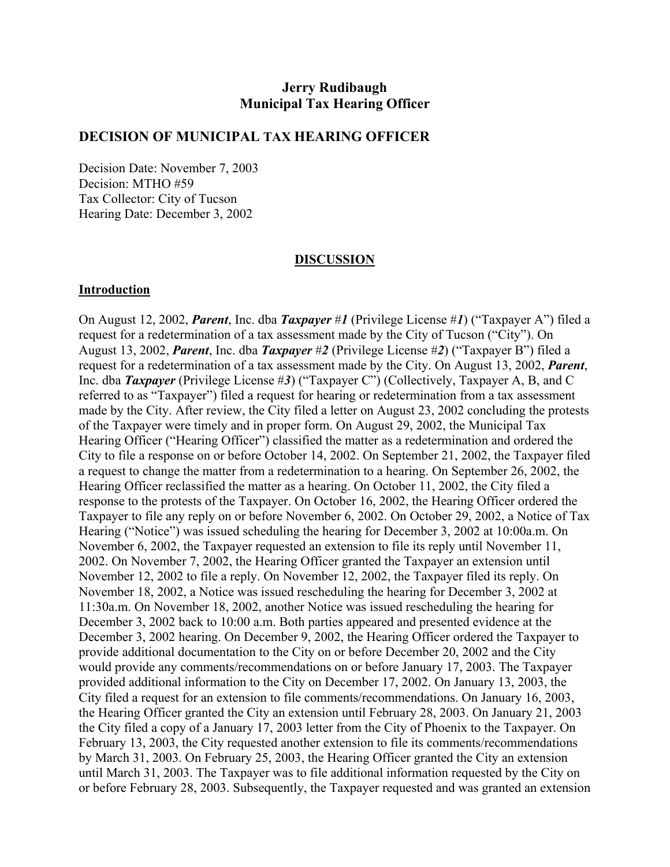## **Jerry Rudibaugh Municipal Tax Hearing Officer**

#### **DECISION OF MUNICIPAL TAX HEARING OFFICER**

Decision Date: November 7, 2003 Decision: MTHO #59 Tax Collector: City of Tucson Hearing Date: December 3, 2002

#### **DISCUSSION**

#### **Introduction**

On August 12, 2002, *Parent*, Inc. dba *Taxpayer* #*1* (Privilege License #*1*) ("Taxpayer A") filed a request for a redetermination of a tax assessment made by the City of Tucson ("City"). On August 13, 2002, *Parent*, Inc. dba *Taxpayer* #*2* (Privilege License #*2*) ("Taxpayer B") filed a request for a redetermination of a tax assessment made by the City. On August 13, 2002, *Parent*, Inc. dba *Taxpayer* (Privilege License #*3*) ("Taxpayer C") (Collectively, Taxpayer A, B, and C referred to as "Taxpayer") filed a request for hearing or redetermination from a tax assessment made by the City. After review, the City filed a letter on August 23, 2002 concluding the protests of the Taxpayer were timely and in proper form. On August 29, 2002, the Municipal Tax Hearing Officer ("Hearing Officer") classified the matter as a redetermination and ordered the City to file a response on or before October 14, 2002. On September 21, 2002, the Taxpayer filed a request to change the matter from a redetermination to a hearing. On September 26, 2002, the Hearing Officer reclassified the matter as a hearing. On October 11, 2002, the City filed a response to the protests of the Taxpayer. On October 16, 2002, the Hearing Officer ordered the Taxpayer to file any reply on or before November 6, 2002. On October 29, 2002, a Notice of Tax Hearing ("Notice") was issued scheduling the hearing for December 3, 2002 at 10:00a.m. On November 6, 2002, the Taxpayer requested an extension to file its reply until November 11, 2002. On November 7, 2002, the Hearing Officer granted the Taxpayer an extension until November 12, 2002 to file a reply. On November 12, 2002, the Taxpayer filed its reply. On November 18, 2002, a Notice was issued rescheduling the hearing for December 3, 2002 at 11:30a.m. On November 18, 2002, another Notice was issued rescheduling the hearing for December 3, 2002 back to 10:00 a.m. Both parties appeared and presented evidence at the December 3, 2002 hearing. On December 9, 2002, the Hearing Officer ordered the Taxpayer to provide additional documentation to the City on or before December 20, 2002 and the City would provide any comments/recommendations on or before January 17, 2003. The Taxpayer provided additional information to the City on December 17, 2002. On January 13, 2003, the City filed a request for an extension to file comments/recommendations. On January 16, 2003, the Hearing Officer granted the City an extension until February 28, 2003. On January 21, 2003 the City filed a copy of a January 17, 2003 letter from the City of Phoenix to the Taxpayer. On February 13, 2003, the City requested another extension to file its comments/recommendations by March 31, 2003. On February 25, 2003, the Hearing Officer granted the City an extension until March 31, 2003. The Taxpayer was to file additional information requested by the City on or before February 28, 2003. Subsequently, the Taxpayer requested and was granted an extension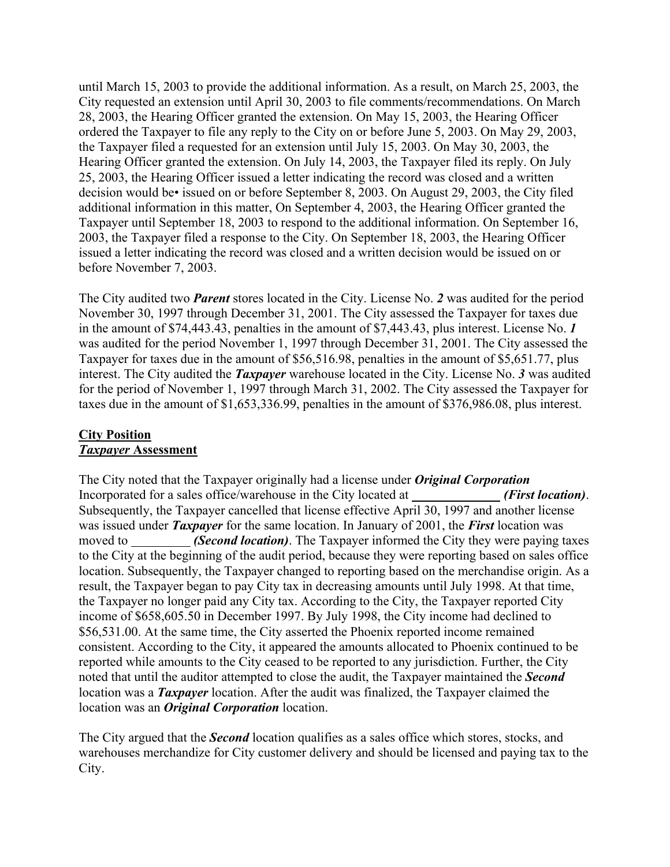until March 15, 2003 to provide the additional information. As a result, on March 25, 2003, the City requested an extension until April 30, 2003 to file comments/recommendations. On March 28, 2003, the Hearing Officer granted the extension. On May 15, 2003, the Hearing Officer ordered the Taxpayer to file any reply to the City on or before June 5, 2003. On May 29, 2003, the Taxpayer filed a requested for an extension until July 15, 2003. On May 30, 2003, the Hearing Officer granted the extension. On July 14, 2003, the Taxpayer filed its reply. On July 25, 2003, the Hearing Officer issued a letter indicating the record was closed and a written decision would be• issued on or before September 8, 2003. On August 29, 2003, the City filed additional information in this matter, On September 4, 2003, the Hearing Officer granted the Taxpayer until September 18, 2003 to respond to the additional information. On September 16, 2003, the Taxpayer filed a response to the City. On September 18, 2003, the Hearing Officer issued a letter indicating the record was closed and a written decision would be issued on or before November 7, 2003.

The City audited two *Parent* stores located in the City. License No. *2* was audited for the period November 30, 1997 through December 31, 2001. The City assessed the Taxpayer for taxes due in the amount of \$74,443.43, penalties in the amount of \$7,443.43, plus interest. License No. *1* was audited for the period November 1, 1997 through December 31, 2001. The City assessed the Taxpayer for taxes due in the amount of \$56,516.98, penalties in the amount of \$5,651.77, plus interest. The City audited the *Taxpayer* warehouse located in the City. License No. *3* was audited for the period of November 1, 1997 through March 31, 2002. The City assessed the Taxpayer for taxes due in the amount of \$1,653,336.99, penalties in the amount of \$376,986.08, plus interest.

## **City Position** *Taxpayer* **Assessment**

The City noted that the Taxpayer originally had a license under *Original Corporation* Incorporated for a sales office/warehouse in the City located at *(First location)*. Subsequently, the Taxpayer cancelled that license effective April 30, 1997 and another license was issued under *Taxpayer* for the same location. In January of 2001, the *First* location was moved to *(Second location)*. The Taxpayer informed the City they were paying taxes to the City at the beginning of the audit period, because they were reporting based on sales office location. Subsequently, the Taxpayer changed to reporting based on the merchandise origin. As a result, the Taxpayer began to pay City tax in decreasing amounts until July 1998. At that time, the Taxpayer no longer paid any City tax. According to the City, the Taxpayer reported City income of \$658,605.50 in December 1997. By July 1998, the City income had declined to \$56,531.00. At the same time, the City asserted the Phoenix reported income remained consistent. According to the City, it appeared the amounts allocated to Phoenix continued to be reported while amounts to the City ceased to be reported to any jurisdiction. Further, the City noted that until the auditor attempted to close the audit, the Taxpayer maintained the *Second* location was a *Taxpayer* location. After the audit was finalized, the Taxpayer claimed the location was an *Original Corporation* location.

The City argued that the *Second* location qualifies as a sales office which stores, stocks, and warehouses merchandize for City customer delivery and should be licensed and paying tax to the City.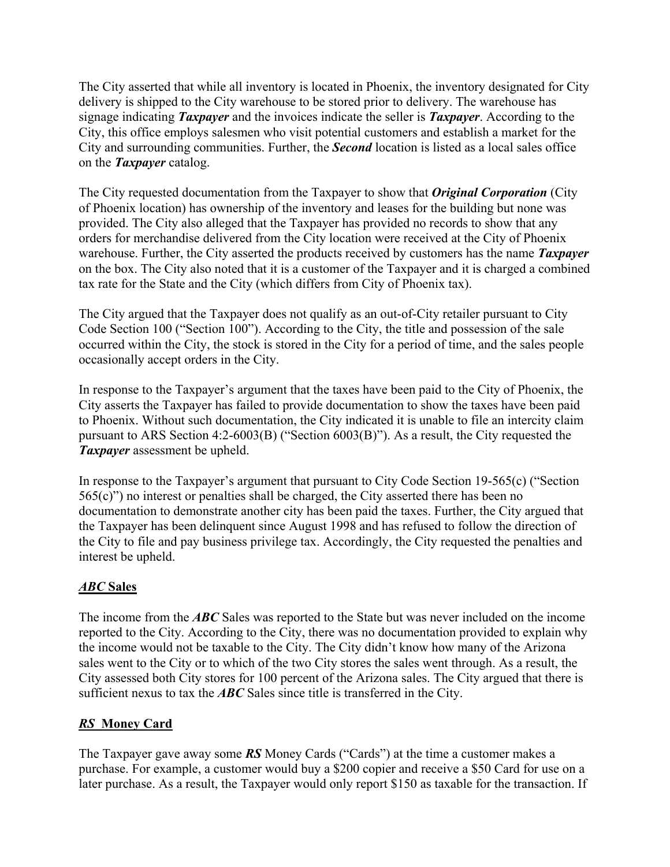The City asserted that while all inventory is located in Phoenix, the inventory designated for City delivery is shipped to the City warehouse to be stored prior to delivery. The warehouse has signage indicating *Taxpayer* and the invoices indicate the seller is *Taxpayer*. According to the City, this office employs salesmen who visit potential customers and establish a market for the City and surrounding communities. Further, the *Second* location is listed as a local sales office on the *Taxpayer* catalog.

The City requested documentation from the Taxpayer to show that *Original Corporation* (City of Phoenix location) has ownership of the inventory and leases for the building but none was provided. The City also alleged that the Taxpayer has provided no records to show that any orders for merchandise delivered from the City location were received at the City of Phoenix warehouse. Further, the City asserted the products received by customers has the name *Taxpayer* on the box. The City also noted that it is a customer of the Taxpayer and it is charged a combined tax rate for the State and the City (which differs from City of Phoenix tax).

The City argued that the Taxpayer does not qualify as an out-of-City retailer pursuant to City Code Section 100 ("Section 100"). According to the City, the title and possession of the sale occurred within the City, the stock is stored in the City for a period of time, and the sales people occasionally accept orders in the City.

In response to the Taxpayer's argument that the taxes have been paid to the City of Phoenix, the City asserts the Taxpayer has failed to provide documentation to show the taxes have been paid to Phoenix. Without such documentation, the City indicated it is unable to file an intercity claim pursuant to ARS Section 4:2-6003(B) ("Section 6003(B)"). As a result, the City requested the *Taxpayer* assessment be upheld.

In response to the Taxpayer's argument that pursuant to City Code Section 19-565(c) ("Section 565(c)") no interest or penalties shall be charged, the City asserted there has been no documentation to demonstrate another city has been paid the taxes. Further, the City argued that the Taxpayer has been delinquent since August 1998 and has refused to follow the direction of the City to file and pay business privilege tax. Accordingly, the City requested the penalties and interest be upheld.

# *ABC* **Sales**

The income from the *ABC* Sales was reported to the State but was never included on the income reported to the City. According to the City, there was no documentation provided to explain why the income would not be taxable to the City. The City didn't know how many of the Arizona sales went to the City or to which of the two City stores the sales went through. As a result, the City assessed both City stores for 100 percent of the Arizona sales. The City argued that there is sufficient nexus to tax the *ABC* Sales since title is transferred in the City.

# *RS* **Money Card**

The Taxpayer gave away some *RS* Money Cards ("Cards") at the time a customer makes a purchase. For example, a customer would buy a \$200 copier and receive a \$50 Card for use on a later purchase. As a result, the Taxpayer would only report \$150 as taxable for the transaction. If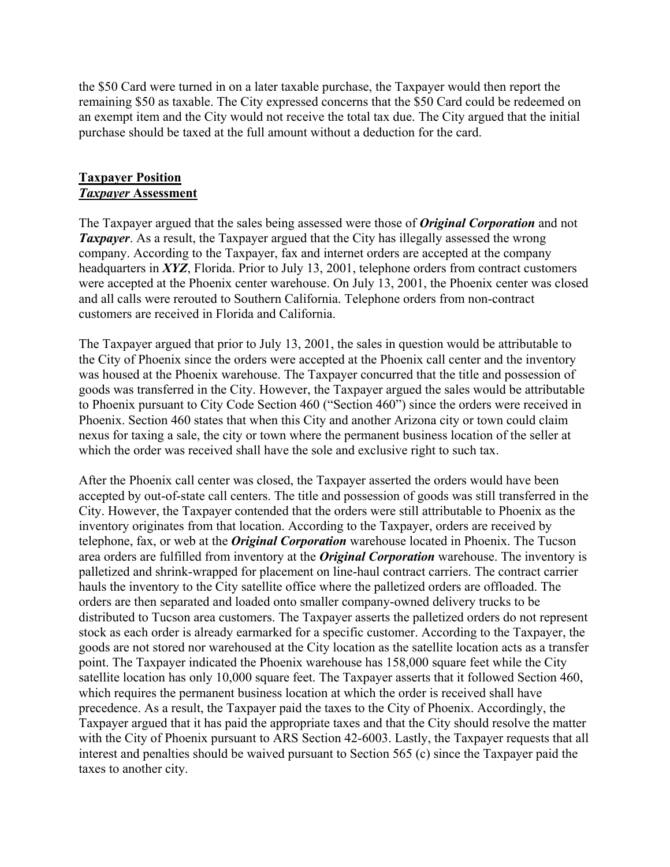the \$50 Card were turned in on a later taxable purchase, the Taxpayer would then report the remaining \$50 as taxable. The City expressed concerns that the \$50 Card could be redeemed on an exempt item and the City would not receive the total tax due. The City argued that the initial purchase should be taxed at the full amount without a deduction for the card.

#### **Taxpayer Position** *Taxpayer* **Assessment**

The Taxpayer argued that the sales being assessed were those of *Original Corporation* and not **Taxpayer**. As a result, the Taxpayer argued that the City has illegally assessed the wrong company. According to the Taxpayer, fax and internet orders are accepted at the company headquarters in *XYZ*, Florida. Prior to July 13, 2001, telephone orders from contract customers were accepted at the Phoenix center warehouse. On July 13, 2001, the Phoenix center was closed and all calls were rerouted to Southern California. Telephone orders from non-contract customers are received in Florida and California.

The Taxpayer argued that prior to July 13, 2001, the sales in question would be attributable to the City of Phoenix since the orders were accepted at the Phoenix call center and the inventory was housed at the Phoenix warehouse. The Taxpayer concurred that the title and possession of goods was transferred in the City. However, the Taxpayer argued the sales would be attributable to Phoenix pursuant to City Code Section 460 ("Section 460") since the orders were received in Phoenix. Section 460 states that when this City and another Arizona city or town could claim nexus for taxing a sale, the city or town where the permanent business location of the seller at which the order was received shall have the sole and exclusive right to such tax.

After the Phoenix call center was closed, the Taxpayer asserted the orders would have been accepted by out-of-state call centers. The title and possession of goods was still transferred in the City. However, the Taxpayer contended that the orders were still attributable to Phoenix as the inventory originates from that location. According to the Taxpayer, orders are received by telephone, fax, or web at the *Original Corporation* warehouse located in Phoenix. The Tucson area orders are fulfilled from inventory at the *Original Corporation* warehouse. The inventory is palletized and shrink-wrapped for placement on line-haul contract carriers. The contract carrier hauls the inventory to the City satellite office where the palletized orders are offloaded. The orders are then separated and loaded onto smaller company-owned delivery trucks to be distributed to Tucson area customers. The Taxpayer asserts the palletized orders do not represent stock as each order is already earmarked for a specific customer. According to the Taxpayer, the goods are not stored nor warehoused at the City location as the satellite location acts as a transfer point. The Taxpayer indicated the Phoenix warehouse has 158,000 square feet while the City satellite location has only 10,000 square feet. The Taxpayer asserts that it followed Section 460, which requires the permanent business location at which the order is received shall have precedence. As a result, the Taxpayer paid the taxes to the City of Phoenix. Accordingly, the Taxpayer argued that it has paid the appropriate taxes and that the City should resolve the matter with the City of Phoenix pursuant to ARS Section 42-6003. Lastly, the Taxpayer requests that all interest and penalties should be waived pursuant to Section 565 (c) since the Taxpayer paid the taxes to another city.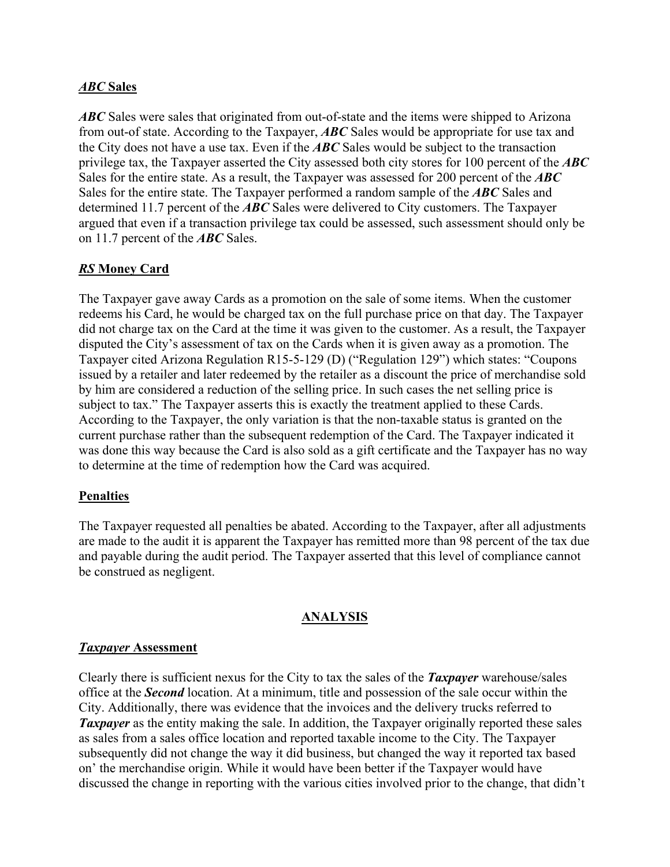## *ABC* **Sales**

*ABC* Sales were sales that originated from out-of-state and the items were shipped to Arizona from out-of state. According to the Taxpayer, *ABC* Sales would be appropriate for use tax and the City does not have a use tax. Even if the *ABC* Sales would be subject to the transaction privilege tax, the Taxpayer asserted the City assessed both city stores for 100 percent of the *ABC*  Sales for the entire state. As a result, the Taxpayer was assessed for 200 percent of the *ABC*  Sales for the entire state. The Taxpayer performed a random sample of the *ABC* Sales and determined 11.7 percent of the *ABC* Sales were delivered to City customers. The Taxpayer argued that even if a transaction privilege tax could be assessed, such assessment should only be on 11.7 percent of the *ABC* Sales.

# *RS* **Money Card**

The Taxpayer gave away Cards as a promotion on the sale of some items. When the customer redeems his Card, he would be charged tax on the full purchase price on that day. The Taxpayer did not charge tax on the Card at the time it was given to the customer. As a result, the Taxpayer disputed the City's assessment of tax on the Cards when it is given away as a promotion. The Taxpayer cited Arizona Regulation R15-5-129 (D) ("Regulation 129") which states: "Coupons issued by a retailer and later redeemed by the retailer as a discount the price of merchandise sold by him are considered a reduction of the selling price. In such cases the net selling price is subject to tax." The Taxpayer asserts this is exactly the treatment applied to these Cards. According to the Taxpayer, the only variation is that the non-taxable status is granted on the current purchase rather than the subsequent redemption of the Card. The Taxpayer indicated it was done this way because the Card is also sold as a gift certificate and the Taxpayer has no way to determine at the time of redemption how the Card was acquired.

## **Penalties**

The Taxpayer requested all penalties be abated. According to the Taxpayer, after all adjustments are made to the audit it is apparent the Taxpayer has remitted more than 98 percent of the tax due and payable during the audit period. The Taxpayer asserted that this level of compliance cannot be construed as negligent.

## **ANALYSIS**

#### *Taxpayer* **Assessment**

Clearly there is sufficient nexus for the City to tax the sales of the *Taxpayer* warehouse/sales office at the *Second* location. At a minimum, title and possession of the sale occur within the City. Additionally, there was evidence that the invoices and the delivery trucks referred to *Taxpayer* as the entity making the sale. In addition, the Taxpayer originally reported these sales as sales from a sales office location and reported taxable income to the City. The Taxpayer subsequently did not change the way it did business, but changed the way it reported tax based on' the merchandise origin. While it would have been better if the Taxpayer would have discussed the change in reporting with the various cities involved prior to the change, that didn't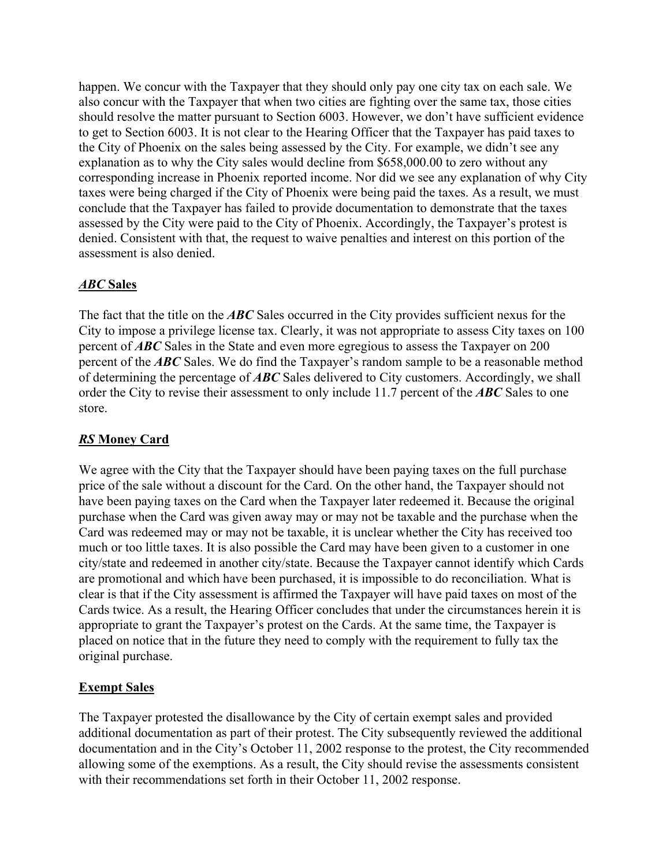happen. We concur with the Taxpayer that they should only pay one city tax on each sale. We also concur with the Taxpayer that when two cities are fighting over the same tax, those cities should resolve the matter pursuant to Section 6003. However, we don't have sufficient evidence to get to Section 6003. It is not clear to the Hearing Officer that the Taxpayer has paid taxes to the City of Phoenix on the sales being assessed by the City. For example, we didn't see any explanation as to why the City sales would decline from \$658,000.00 to zero without any corresponding increase in Phoenix reported income. Nor did we see any explanation of why City taxes were being charged if the City of Phoenix were being paid the taxes. As a result, we must conclude that the Taxpayer has failed to provide documentation to demonstrate that the taxes assessed by the City were paid to the City of Phoenix. Accordingly, the Taxpayer's protest is denied. Consistent with that, the request to waive penalties and interest on this portion of the assessment is also denied.

## *ABC* **Sales**

The fact that the title on the *ABC* Sales occurred in the City provides sufficient nexus for the City to impose a privilege license tax. Clearly, it was not appropriate to assess City taxes on 100 percent of *ABC* Sales in the State and even more egregious to assess the Taxpayer on 200 percent of the *ABC* Sales. We do find the Taxpayer's random sample to be a reasonable method of determining the percentage of *ABC* Sales delivered to City customers. Accordingly, we shall order the City to revise their assessment to only include 11.7 percent of the *ABC* Sales to one store.

# *RS* **Money Card**

We agree with the City that the Taxpayer should have been paying taxes on the full purchase price of the sale without a discount for the Card. On the other hand, the Taxpayer should not have been paying taxes on the Card when the Taxpayer later redeemed it. Because the original purchase when the Card was given away may or may not be taxable and the purchase when the Card was redeemed may or may not be taxable, it is unclear whether the City has received too much or too little taxes. It is also possible the Card may have been given to a customer in one city/state and redeemed in another city/state. Because the Taxpayer cannot identify which Cards are promotional and which have been purchased, it is impossible to do reconciliation. What is clear is that if the City assessment is affirmed the Taxpayer will have paid taxes on most of the Cards twice. As a result, the Hearing Officer concludes that under the circumstances herein it is appropriate to grant the Taxpayer's protest on the Cards. At the same time, the Taxpayer is placed on notice that in the future they need to comply with the requirement to fully tax the original purchase.

# **Exempt Sales**

The Taxpayer protested the disallowance by the City of certain exempt sales and provided additional documentation as part of their protest. The City subsequently reviewed the additional documentation and in the City's October 11, 2002 response to the protest, the City recommended allowing some of the exemptions. As a result, the City should revise the assessments consistent with their recommendations set forth in their October 11, 2002 response.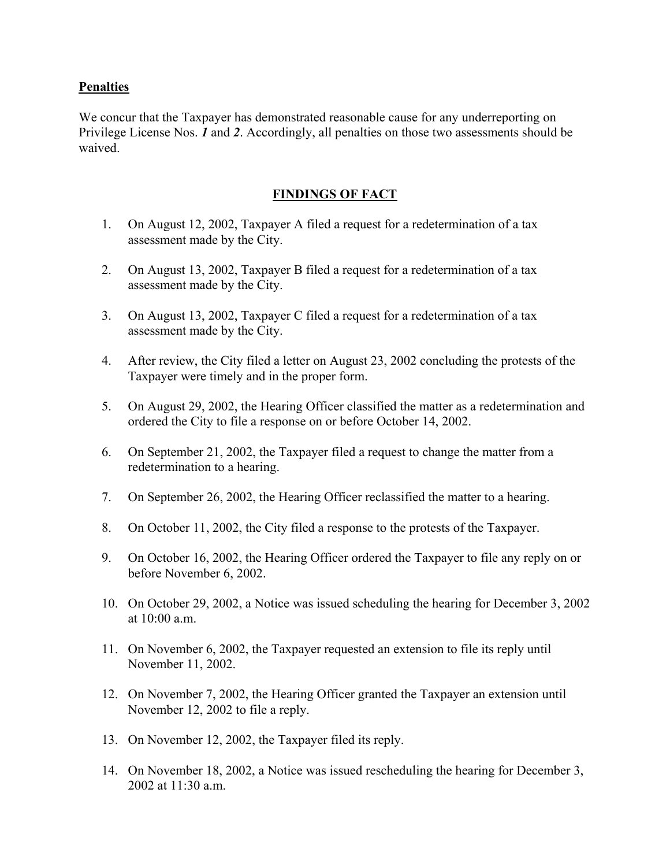#### **Penalties**

We concur that the Taxpayer has demonstrated reasonable cause for any underreporting on Privilege License Nos. *1* and *2*. Accordingly, all penalties on those two assessments should be waived.

#### **FINDINGS OF FACT**

- 1. On August 12, 2002, Taxpayer A filed a request for a redetermination of a tax assessment made by the City.
- 2. On August 13, 2002, Taxpayer B filed a request for a redetermination of a tax assessment made by the City.
- 3. On August 13, 2002, Taxpayer C filed a request for a redetermination of a tax assessment made by the City.
- 4. After review, the City filed a letter on August 23, 2002 concluding the protests of the Taxpayer were timely and in the proper form.
- 5. On August 29, 2002, the Hearing Officer classified the matter as a redetermination and ordered the City to file a response on or before October 14, 2002.
- 6. On September 21, 2002, the Taxpayer filed a request to change the matter from a redetermination to a hearing.
- 7. On September 26, 2002, the Hearing Officer reclassified the matter to a hearing.
- 8. On October 11, 2002, the City filed a response to the protests of the Taxpayer.
- 9. On October 16, 2002, the Hearing Officer ordered the Taxpayer to file any reply on or before November 6, 2002.
- 10. On October 29, 2002, a Notice was issued scheduling the hearing for December 3, 2002 at  $10:00$  a.m.
- 11. On November 6, 2002, the Taxpayer requested an extension to file its reply until November 11, 2002.
- 12. On November 7, 2002, the Hearing Officer granted the Taxpayer an extension until November 12, 2002 to file a reply.
- 13. On November 12, 2002, the Taxpayer filed its reply.
- 14. On November 18, 2002, a Notice was issued rescheduling the hearing for December 3, 2002 at  $11:30$  a.m.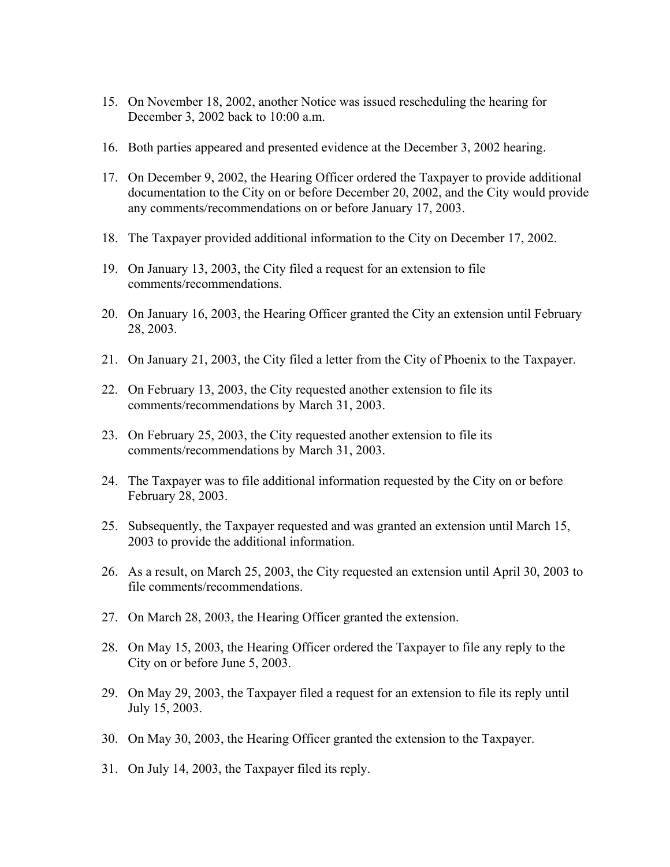- 15. On November 18, 2002, another Notice was issued rescheduling the hearing for December 3, 2002 back to 10:00 a.m.
- 16. Both parties appeared and presented evidence at the December 3, 2002 hearing.
- 17. On December 9, 2002, the Hearing Officer ordered the Taxpayer to provide additional documentation to the City on or before December 20, 2002, and the City would provide any comments/recommendations on or before January 17, 2003.
- 18. The Taxpayer provided additional information to the City on December 17, 2002.
- 19. On January 13, 2003, the City filed a request for an extension to file comments/recommendations.
- 20. On January 16, 2003, the Hearing Officer granted the City an extension until February 28, 2003.
- 21. On January 21, 2003, the City filed a letter from the City of Phoenix to the Taxpayer.
- 22. On February 13, 2003, the City requested another extension to file its comments/recommendations by March 31, 2003.
- 23. On February 25, 2003, the City requested another extension to file its comments/recommendations by March 31, 2003.
- 24. The Taxpayer was to file additional information requested by the City on or before February 28, 2003.
- 25. Subsequently, the Taxpayer requested and was granted an extension until March 15, 2003 to provide the additional information.
- 26. As a result, on March 25, 2003, the City requested an extension until April 30, 2003 to file comments/recommendations.
- 27. On March 28, 2003, the Hearing Officer granted the extension.
- 28. On May 15, 2003, the Hearing Officer ordered the Taxpayer to file any reply to the City on or before June 5, 2003.
- 29. On May 29, 2003, the Taxpayer filed a request for an extension to file its reply until July 15, 2003.
- 30. On May 30, 2003, the Hearing Officer granted the extension to the Taxpayer.
- 31. On July 14, 2003, the Taxpayer filed its reply.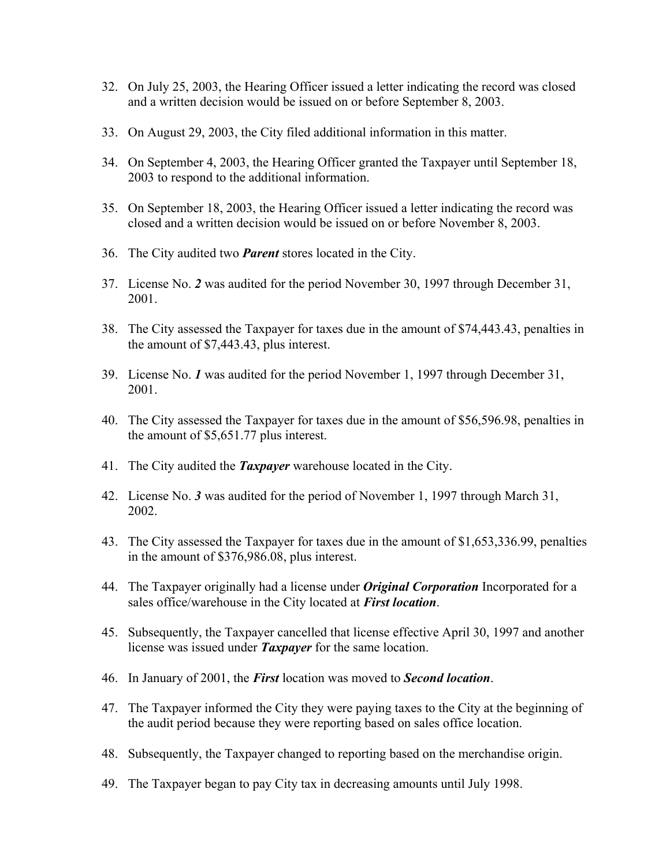- 32. On July 25, 2003, the Hearing Officer issued a letter indicating the record was closed and a written decision would be issued on or before September 8, 2003.
- 33. On August 29, 2003, the City filed additional information in this matter.
- 34. On September 4, 2003, the Hearing Officer granted the Taxpayer until September 18, 2003 to respond to the additional information.
- 35. On September 18, 2003, the Hearing Officer issued a letter indicating the record was closed and a written decision would be issued on or before November 8, 2003.
- 36. The City audited two *Parent* stores located in the City.
- 37. License No. *2* was audited for the period November 30, 1997 through December 31, 2001.
- 38. The City assessed the Taxpayer for taxes due in the amount of \$74,443.43, penalties in the amount of \$7,443.43, plus interest.
- 39. License No. *1* was audited for the period November 1, 1997 through December 31, 2001.
- 40. The City assessed the Taxpayer for taxes due in the amount of \$56,596.98, penalties in the amount of \$5,651.77 plus interest.
- 41. The City audited the *Taxpayer* warehouse located in the City.
- 42. License No. *3* was audited for the period of November 1, 1997 through March 31, 2002.
- 43. The City assessed the Taxpayer for taxes due in the amount of \$1,653,336.99, penalties in the amount of \$376,986.08, plus interest.
- 44. The Taxpayer originally had a license under *Original Corporation* Incorporated for a sales office/warehouse in the City located at *First location*.
- 45. Subsequently, the Taxpayer cancelled that license effective April 30, 1997 and another license was issued under *Taxpayer* for the same location.
- 46. In January of 2001, the *First* location was moved to *Second location*.
- 47. The Taxpayer informed the City they were paying taxes to the City at the beginning of the audit period because they were reporting based on sales office location.
- 48. Subsequently, the Taxpayer changed to reporting based on the merchandise origin.
- 49. The Taxpayer began to pay City tax in decreasing amounts until July 1998.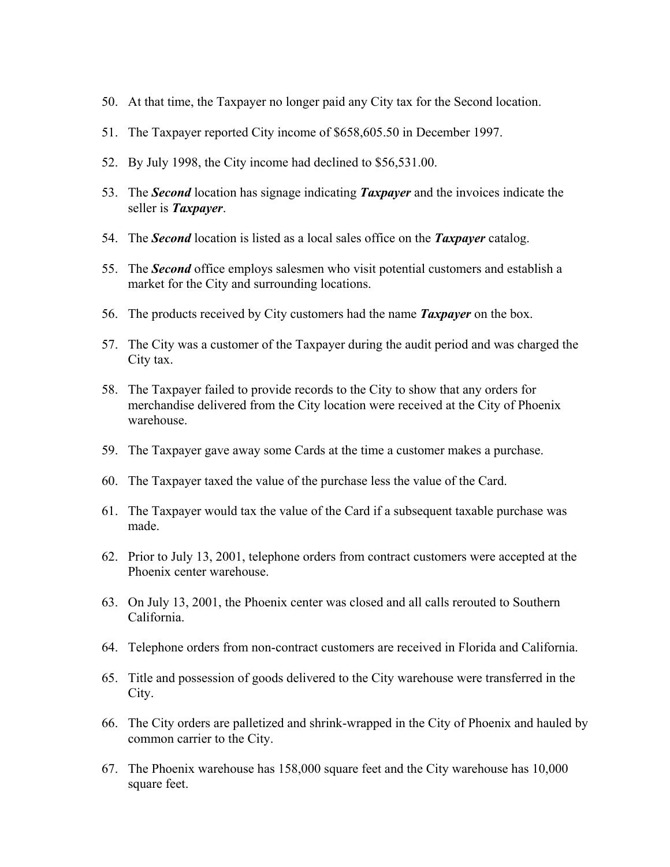- 50. At that time, the Taxpayer no longer paid any City tax for the Second location.
- 51. The Taxpayer reported City income of \$658,605.50 in December 1997.
- 52. By July 1998, the City income had declined to \$56,531.00.
- 53. The *Second* location has signage indicating *Taxpayer* and the invoices indicate the seller is *Taxpayer*.
- 54. The *Second* location is listed as a local sales office on the *Taxpayer* catalog.
- 55. The *Second* office employs salesmen who visit potential customers and establish a market for the City and surrounding locations.
- 56. The products received by City customers had the name *Taxpayer* on the box.
- 57. The City was a customer of the Taxpayer during the audit period and was charged the City tax.
- 58. The Taxpayer failed to provide records to the City to show that any orders for merchandise delivered from the City location were received at the City of Phoenix warehouse.
- 59. The Taxpayer gave away some Cards at the time a customer makes a purchase.
- 60. The Taxpayer taxed the value of the purchase less the value of the Card.
- 61. The Taxpayer would tax the value of the Card if a subsequent taxable purchase was made.
- 62. Prior to July 13, 2001, telephone orders from contract customers were accepted at the Phoenix center warehouse.
- 63. On July 13, 2001, the Phoenix center was closed and all calls rerouted to Southern California.
- 64. Telephone orders from non-contract customers are received in Florida and California.
- 65. Title and possession of goods delivered to the City warehouse were transferred in the City.
- 66. The City orders are palletized and shrink-wrapped in the City of Phoenix and hauled by common carrier to the City.
- 67. The Phoenix warehouse has 158,000 square feet and the City warehouse has 10,000 square feet.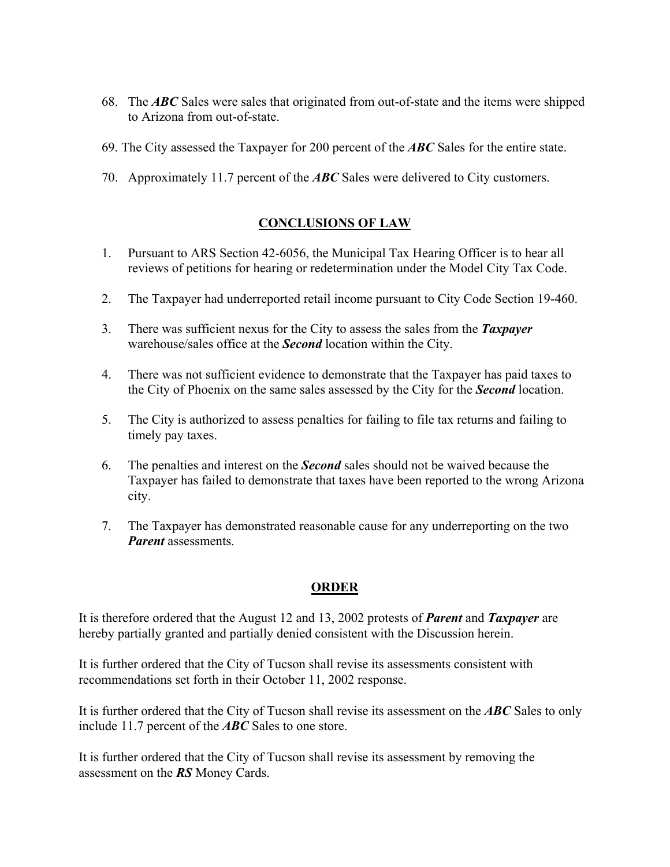- 68. The *ABC* Sales were sales that originated from out-of-state and the items were shipped to Arizona from out-of-state.
- 69. The City assessed the Taxpayer for 200 percent of the *ABC* Sales for the entire state.
- 70. Approximately 11.7 percent of the *ABC* Sales were delivered to City customers.

# **CONCLUSIONS OF LAW**

- 1. Pursuant to ARS Section 42-6056, the Municipal Tax Hearing Officer is to hear all reviews of petitions for hearing or redetermination under the Model City Tax Code.
- 2. The Taxpayer had underreported retail income pursuant to City Code Section 19-460.
- 3. There was sufficient nexus for the City to assess the sales from the *Taxpayer* warehouse/sales office at the *Second* location within the City.
- 4. There was not sufficient evidence to demonstrate that the Taxpayer has paid taxes to the City of Phoenix on the same sales assessed by the City for the *Second* location.
- 5. The City is authorized to assess penalties for failing to file tax returns and failing to timely pay taxes.
- 6. The penalties and interest on the *Second* sales should not be waived because the Taxpayer has failed to demonstrate that taxes have been reported to the wrong Arizona city.
- 7. The Taxpayer has demonstrated reasonable cause for any underreporting on the two *Parent* assessments.

## **ORDER**

It is therefore ordered that the August 12 and 13, 2002 protests of *Parent* and *Taxpayer* are hereby partially granted and partially denied consistent with the Discussion herein.

It is further ordered that the City of Tucson shall revise its assessments consistent with recommendations set forth in their October 11, 2002 response.

It is further ordered that the City of Tucson shall revise its assessment on the *ABC* Sales to only include 11.7 percent of the *ABC* Sales to one store.

It is further ordered that the City of Tucson shall revise its assessment by removing the assessment on the *RS* Money Cards.